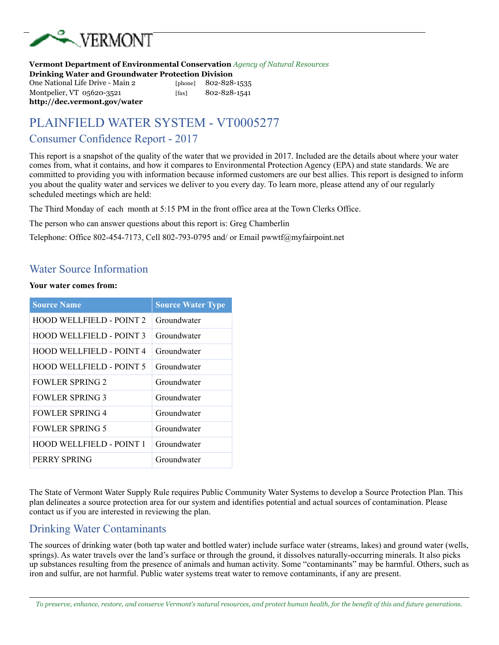

#### **Vermont Department of Environmental Conservation** *Agency of Natural Resources* **Drinking Water and Groundwater Protection Division**  One National Life Drive - Main 2 [phone] 802-828-1535

Montpelier, VT 05620-3521 [fax] 802-828-1541 **http://dec.vermont.gov/water** 

# PLAINFIELD WATER SYSTEM - VT0005277

#### Consumer Confidence Report - 2017

This report is a snapshot of the quality of the water that we provided in 2017. Included are the details about where your water comes from, what it contains, and how it compares to Environmental Protection Agency (EPA) and state standards. We are committed to providing you with information because informed customers are our best allies. This report is designed to inform you about the quality water and services we deliver to you every day. To learn more, please attend any of our regularly scheduled meetings which are held:

The Third Monday of each month at 5:15 PM in the front office area at the Town Clerks Office.

The person who can answer questions about this report is: Greg Chamberlin

Telephone: Office 802-454-7173, Cell 802-793-0795 and/ or Email pwwtf@myfairpoint.net

#### Water Source Information

#### **Your water comes from:**

| <b>Source Name</b>              | <b>Source Water Type</b> |
|---------------------------------|--------------------------|
| <b>HOOD WELLFIELD - POINT 2</b> | Groundwater              |
| <b>HOOD WELLFIELD - POINT 3</b> | Groundwater              |
| <b>HOOD WELLFIELD - POINT 4</b> | Groundwater              |
| <b>HOOD WELLFIELD - POINT 5</b> | Groundwater              |
| <b>FOWLER SPRING 2</b>          | Groundwater              |
| <b>FOWLER SPRING 3</b>          | Groundwater              |
| <b>FOWLER SPRING 4</b>          | Groundwater              |
| <b>FOWLER SPRING 5</b>          | Groundwater              |
| <b>HOOD WELLFIELD - POINT 1</b> | Groundwater              |
| PERRY SPRING                    | Groundwater              |

The State of Vermont Water Supply Rule requires Public Community Water Systems to develop a Source Protection Plan. This plan delineates a source protection area for our system and identifies potential and actual sources of contamination. Please contact us if you are interested in reviewing the plan.

## Drinking Water Contaminants

The sources of drinking water (both tap water and bottled water) include surface water (streams, lakes) and ground water (wells, springs). As water travels over the land's surface or through the ground, it dissolves naturally-occurring minerals. It also picks up substances resulting from the presence of animals and human activity. Some "contaminants" may be harmful. Others, such as iron and sulfur, are not harmful. Public water systems treat water to remove contaminants, if any are present.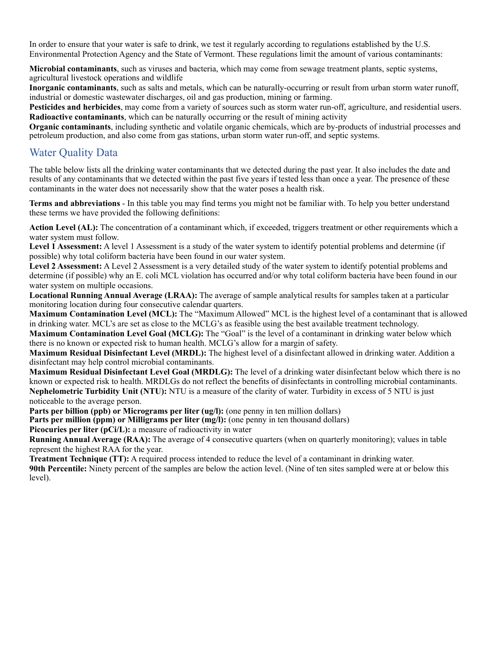In order to ensure that your water is safe to drink, we test it regularly according to regulations established by the U.S. Environmental Protection Agency and the State of Vermont. These regulations limit the amount of various contaminants:

**Microbial contaminants**, such as viruses and bacteria, which may come from sewage treatment plants, septic systems, agricultural livestock operations and wildlife

**Inorganic contaminants**, such as salts and metals, which can be naturally-occurring or result from urban storm water runoff, industrial or domestic wastewater discharges, oil and gas production, mining or farming.

**Pesticides and herbicides**, may come from a variety of sources such as storm water run-off, agriculture, and residential users. **Radioactive contaminants**, which can be naturally occurring or the result of mining activity

**Organic contaminants**, including synthetic and volatile organic chemicals, which are by-products of industrial processes and petroleum production, and also come from gas stations, urban storm water run-off, and septic systems.

#### Water Quality Data

The table below lists all the drinking water contaminants that we detected during the past year. It also includes the date and results of any contaminants that we detected within the past five years if tested less than once a year. The presence of these contaminants in the water does not necessarily show that the water poses a health risk.

**Terms and abbreviations** - In this table you may find terms you might not be familiar with. To help you better understand these terms we have provided the following definitions:

**Action Level (AL):** The concentration of a contaminant which, if exceeded, triggers treatment or other requirements which a water system must follow.

Level 1 Assessment: A level 1 Assessment is a study of the water system to identify potential problems and determine (if possible) why total coliform bacteria have been found in our water system.

**Level 2 Assessment:** A Level 2 Assessment is a very detailed study of the water system to identify potential problems and determine (if possible) why an E. coli MCL violation has occurred and/or why total coliform bacteria have been found in our water system on multiple occasions.

**Locational Running Annual Average (LRAA):** The average of sample analytical results for samples taken at a particular monitoring location during four consecutive calendar quarters.

**Maximum Contamination Level (MCL):** The "Maximum Allowed" MCL is the highest level of a contaminant that is allowed in drinking water. MCL's are set as close to the MCLG's as feasible using the best available treatment technology.

**Maximum Contamination Level Goal (MCLG):** The "Goal" is the level of a contaminant in drinking water below which there is no known or expected risk to human health. MCLG's allow for a margin of safety.

**Maximum Residual Disinfectant Level (MRDL):** The highest level of a disinfectant allowed in drinking water. Addition a disinfectant may help control microbial contaminants.

**Maximum Residual Disinfectant Level Goal (MRDLG):** The level of a drinking water disinfectant below which there is no known or expected risk to health. MRDLGs do not reflect the benefits of disinfectants in controlling microbial contaminants. **Nephelometric Turbidity Unit (NTU):** NTU is a measure of the clarity of water. Turbidity in excess of 5 NTU is just noticeable to the average person.

**Parts per billion (ppb) or Micrograms per liter (ug/l):** (one penny in ten million dollars)

**Parts per million (ppm) or Milligrams per liter (mg/l):** (one penny in ten thousand dollars)

**Picocuries per liter (pCi/L):** a measure of radioactivity in water

**Running Annual Average (RAA):** The average of 4 consecutive quarters (when on quarterly monitoring); values in table represent the highest RAA for the year.

**Treatment Technique (TT):** A required process intended to reduce the level of a contaminant in drinking water. **90th Percentile:** Ninety percent of the samples are below the action level. (Nine of ten sites sampled were at or below this level).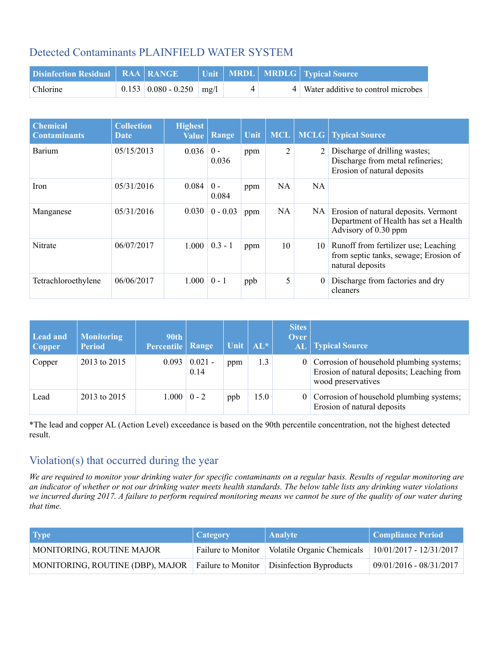## Detected Contaminants PLAINFIELD WATER SYSTEM

| Disinfection Residual   RAA   RANGE |                                      |  | Unit   MRDL   MRDLG   Typical Source |
|-------------------------------------|--------------------------------------|--|--------------------------------------|
| <b>Chlorine</b>                     | $0.153 \mid 0.080 - 0.250 \mid mg/l$ |  | 4 Water additive to control microbes |

| <b>Chemical</b><br><b>Contaminants</b> | <b>Collection</b><br><b>Date</b> | <b>Highest</b><br><b>Value</b> | Range          | Unit | <b>MCL</b> | <b>MCLG</b> | <b>Typical Source</b>                                                                                 |
|----------------------------------------|----------------------------------|--------------------------------|----------------|------|------------|-------------|-------------------------------------------------------------------------------------------------------|
| <b>Barium</b>                          | 05/15/2013                       | 0.036                          | $0 -$<br>0.036 | ppm  | 2          | 2           | Discharge of drilling wastes;<br>Discharge from metal refineries;<br>Erosion of natural deposits      |
| Iron                                   | 05/31/2016                       | 0.084                          | $0 -$<br>0.084 | ppm  | NA         | NA          |                                                                                                       |
| Manganese                              | 05/31/2016                       | 0.030                          | $0 - 0.03$     | ppm  | NA         | NA          | Erosion of natural deposits. Vermont<br>Department of Health has set a Health<br>Advisory of 0.30 ppm |
| Nitrate                                | 06/07/2017                       | 1.000                          | $0.3 - 1$      | ppm  | 10         |             | 10 Runoff from fertilizer use; Leaching<br>from septic tanks, sewage; Erosion of<br>natural deposits  |
| Tetrachloroethylene                    | 06/06/2017                       | 1.000                          | $0 - 1$        | ppb  | 5          | $\theta$    | Discharge from factories and dry<br>cleaners                                                          |

| Lead and<br><b>Copper</b> | <b>Monitoring</b><br><b>Period</b> | <b>90th</b><br>Percentile | Range             | Unit | $\ AL^*$ | <b>Sites</b><br><b>Over</b> | <b>AL</b> Typical Source                                                                                       |
|---------------------------|------------------------------------|---------------------------|-------------------|------|----------|-----------------------------|----------------------------------------------------------------------------------------------------------------|
| Copper                    | 2013 to 2015                       | 0.093                     | $0.021 -$<br>0.14 | ppm  | 1.3      |                             | 0 Corrosion of household plumbing systems;<br>Erosion of natural deposits; Leaching from<br>wood preservatives |
| Lead                      | 2013 to 2015                       | $1.000 \mid 0 - 2$        |                   | ppb  | 15.0     |                             | 0 Corrosion of household plumbing systems;<br>Erosion of natural deposits                                      |

\*The lead and copper AL (Action Level) exceedance is based on the 90th percentile concentration, not the highest detected result.

## Violation(s) that occurred during the year

*We are required to monitor your drinking water for specific contaminants on a regular basis. Results of regular monitoring are an indicator of whether or not our drinking water meets health standards. The below table lists any drinking water violations we incurred during 2017. A failure to perform required monitoring means we cannot be sure of the quality of our water during that time.*

| <b>Type</b>                                                                   | Category           | <b>Analyte</b>                    | Compliance Period         |
|-------------------------------------------------------------------------------|--------------------|-----------------------------------|---------------------------|
| MONITORING, ROUTINE MAJOR                                                     | Failure to Monitor | <b>Volatile Organic Chemicals</b> | $10/01/2017 - 12/31/2017$ |
| MONITORING, ROUTINE (DBP), MAJOR Failure to Monitor   Disinfection Byproducts |                    |                                   | 09/01/2016 - 08/31/2017   |